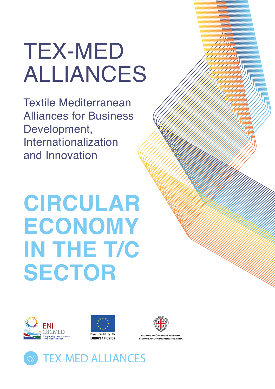# TEX-MED ALLIANCES

Textile Mediterranean Alliances for Business Development, Internationalization and Innovation

# **CIRCULAR ECONOMY IN THE T/C SECTOR**







**PEGIONE AUTÒNOMA DE SAPDIGNI** 

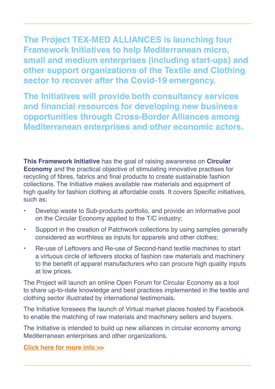**The Project TEX-MED ALLIANCES is launching four Framework Initiatives to help Mediterranean micro, small and medium enterprises (including start-ups) and other support organizations of the Textile and Clothing sector to recover after the Covid-19 emergency.** 

**The Initiatives will provide both consultancy services and financial resources for developing new business opportunities through Cross-Border Alliances among Mediterranean enterprises and other economic actors.**

**This Framework Initiative** has the goal of raising awareness on **Circular Economy** and the practical objective of stimulating innovative practises for recycling of fibres, fabrics and final products to create sustainable fashion collections. The Initiative makes available raw materials and equipment of high quality for fashion clothing at affordable costs. It covers Specific initiatives, such as:

- Develop waste to Sub-products portfolio, and provide an informative pool on the Circular Economy applied to the T/C industry;
- Support in the creation of Patchwork collections by using samples generally considered as worthless as inputs for apparels and other clothes;
- Re-use of Leftovers and Re-use of Second-hand textile machines to start a virtuous circle of leftovers stocks of fashion raw materials and machinery to the benefit of apparel manufacturers who can procure high quality inputs at low prices.

The Project will launch an online Open Forum for Circular Economy as a tool to share up-to-date knowledge and best practices implemented in the textile and clothing sector illustrated by international testimonials.

The Initiative foresees the launch of Virtual market places hosted by Facebook to enable the matching of raw materials and machinery sellers and buyers.

The Initiative is intended to build up new alliances in circular economy among Mediterranean enterprises and other organizations.

**Click here for [more info >](http://www.enicbcmed.eu/projects/tex-med-alliances)>**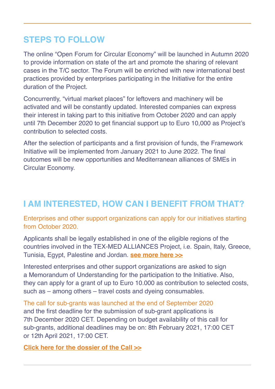## **STEPS TO FOLLOW**

The online "Open Forum for Circular Economy" will be launched in Autumn 2020 to provide information on state of the art and promote the sharing of relevant cases in the T/C sector. The Forum will be enriched with new international best practices provided by enterprises participating in the Initiative for the entire duration of the Project.

Concurrently, "virtual market places" for leftovers and machinery will be activated and will be constantly updated. Interested companies can express their interest in taking part to this initiative from October 2020 and can apply until 7th December 2020 to get financial support up to Euro 10,000 as Project's contribution to selected costs.

After the selection of participants and a first provision of funds, the Framework Initiative will be implemented from January 2021 to June 2022. The final outcomes will be new opportunities and Mediterranean alliances of SMEs in Circular Economy.

# **I AM INTERESTED, HOW CAN I BENEFIT FROM THAT?**

Enterprises and other support organizations can apply for our initiatives starting from October 2020.

Applicants shall be legally established in one of the eligible regions of the countries involved in the TEX-MED ALLIANCES Project, i.e. Spain, Italy, Greece, Tunisia, Egypt, Palestine and Jordan. **[see more here](http://www.enicbcmed.eu/about-us/cooperation-area) >>**

Interested enterprises and other support organizations are asked to sign a Memorandum of Understanding for the participation to the Initiative. Also, they can apply for a grant of up to Euro 10.000 as contribution to selected costs, such as – among others – travel costs and dyeing consumables.

The call for sub-grants was launched at the end of September 2020 and the first deadline for the submission of sub-grant applications is 7th December 2020 CET. Depending on budget availability of this call for sub-grants, additional deadlines may be on: 8th February 2021, 17:00 CET or 12th April 2021, 17:00 CET.

**Click here for the dossier of the Cal[l >>](http://www.enicbcmed.eu/tex-med-alliances-offers-financial-support-foster-internationalization-circular-economy-and)**